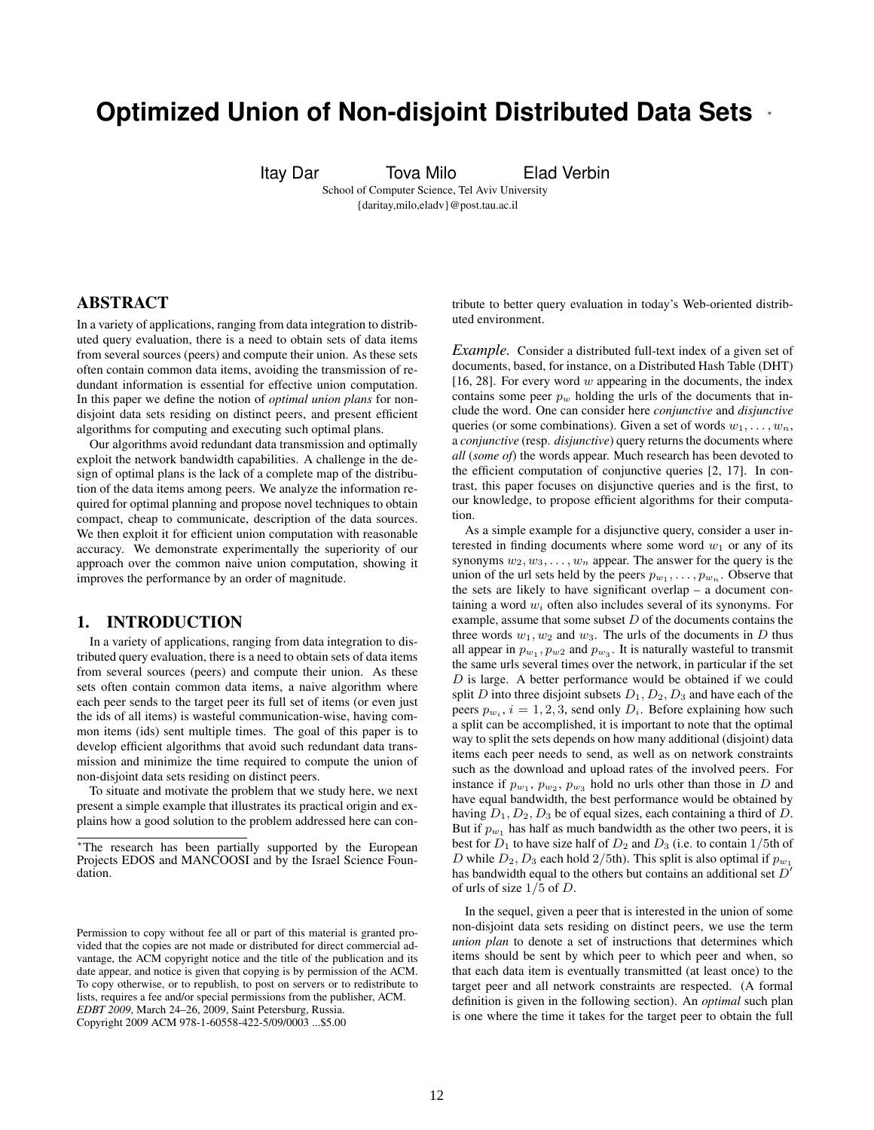# **Optimized Union of Non-disjoint Distributed Data Sets** <sup>∗</sup>

Itay Dar Tova Milo Elad Verbin

School of Computer Science, Tel Aviv University {daritay,milo,eladv}@post.tau.ac.il

# ABSTRACT

In a variety of applications, ranging from data integration to distributed query evaluation, there is a need to obtain sets of data items from several sources (peers) and compute their union. As these sets often contain common data items, avoiding the transmission of redundant information is essential for effective union computation. In this paper we define the notion of *optimal union plans* for nondisjoint data sets residing on distinct peers, and present efficient algorithms for computing and executing such optimal plans.

Our algorithms avoid redundant data transmission and optimally exploit the network bandwidth capabilities. A challenge in the design of optimal plans is the lack of a complete map of the distribution of the data items among peers. We analyze the information required for optimal planning and propose novel techniques to obtain compact, cheap to communicate, description of the data sources. We then exploit it for efficient union computation with reasonable accuracy. We demonstrate experimentally the superiority of our approach over the common naive union computation, showing it improves the performance by an order of magnitude.

#### 1. INTRODUCTION

In a variety of applications, ranging from data integration to distributed query evaluation, there is a need to obtain sets of data items from several sources (peers) and compute their union. As these sets often contain common data items, a naive algorithm where each peer sends to the target peer its full set of items (or even just the ids of all items) is wasteful communication-wise, having common items (ids) sent multiple times. The goal of this paper is to develop efficient algorithms that avoid such redundant data transmission and minimize the time required to compute the union of non-disjoint data sets residing on distinct peers.

To situate and motivate the problem that we study here, we next present a simple example that illustrates its practical origin and explains how a good solution to the problem addressed here can contribute to better query evaluation in today's Web-oriented distributed environment.

*Example.* Consider a distributed full-text index of a given set of documents, based, for instance, on a Distributed Hash Table (DHT) [16, 28]. For every word  $w$  appearing in the documents, the index contains some peer  $p_w$  holding the urls of the documents that include the word. One can consider here *conjunctive* and *disjunctive* queries (or some combinations). Given a set of words  $w_1, \ldots, w_n$ , a *conjunctive* (resp. *disjunctive*) query returns the documents where *all* (*some of*) the words appear. Much research has been devoted to the efficient computation of conjunctive queries [2, 17]. In contrast, this paper focuses on disjunctive queries and is the first, to our knowledge, to propose efficient algorithms for their computation.

As a simple example for a disjunctive query, consider a user interested in finding documents where some word  $w_1$  or any of its synonyms  $w_2, w_3, \ldots, w_n$  appear. The answer for the query is the union of the url sets held by the peers  $p_{w_1}, \ldots, p_{w_n}$ . Observe that the sets are likely to have significant overlap – a document containing a word  $w_i$  often also includes several of its synonyms. For example, assume that some subset  $D$  of the documents contains the three words  $w_1, w_2$  and  $w_3$ . The urls of the documents in D thus all appear in  $p_{w_1}, p_{w_2}$  and  $p_{w_3}$ . It is naturally wasteful to transmit the same urls several times over the network, in particular if the set  $D$  is large. A better performance would be obtained if we could split D into three disjoint subsets  $D_1, D_2, D_3$  and have each of the peers  $p_{w_i}$ ,  $i = 1, 2, 3$ , send only  $D_i$ . Before explaining how such a split can be accomplished, it is important to note that the optimal way to split the sets depends on how many additional (disjoint) data items each peer needs to send, as well as on network constraints such as the download and upload rates of the involved peers. For instance if  $p_{w_1}, p_{w_2}, p_{w_3}$  hold no urls other than those in D and have equal bandwidth, the best performance would be obtained by having  $D_1, D_2, D_3$  be of equal sizes, each containing a third of D. But if  $p_{w_1}$  has half as much bandwidth as the other two peers, it is best for  $D_1$  to have size half of  $D_2$  and  $D_3$  (i.e. to contain 1/5th of D while  $D_2, D_3$  each hold  $2/5$ th). This split is also optimal if  $p_{w_1}$ has bandwidth equal to the others but contains an additional set  $D'$ of urls of size  $1/5$  of D.

In the sequel, given a peer that is interested in the union of some non-disjoint data sets residing on distinct peers, we use the term *union plan* to denote a set of instructions that determines which items should be sent by which peer to which peer and when, so that each data item is eventually transmitted (at least once) to the target peer and all network constraints are respected. (A formal definition is given in the following section). An *optimal* such plan is one where the time it takes for the target peer to obtain the full

<sup>∗</sup>The research has been partially supported by the European Projects EDOS and MANCOOSI and by the Israel Science Foundation.

Permission to copy without fee all or part of this material is granted provided that the copies are not made or distributed for direct commercial advantage, the ACM copyright notice and the title of the publication and its date appear, and notice is given that copying is by permission of the ACM. To copy otherwise, or to republish, to post on servers or to redistribute to lists, requires a fee and/or special permissions from the publisher, ACM. *EDBT 2009*, March 24–26, 2009, Saint Petersburg, Russia. Copyright 2009 ACM 978-1-60558-422-5/09/0003 ...\$5.00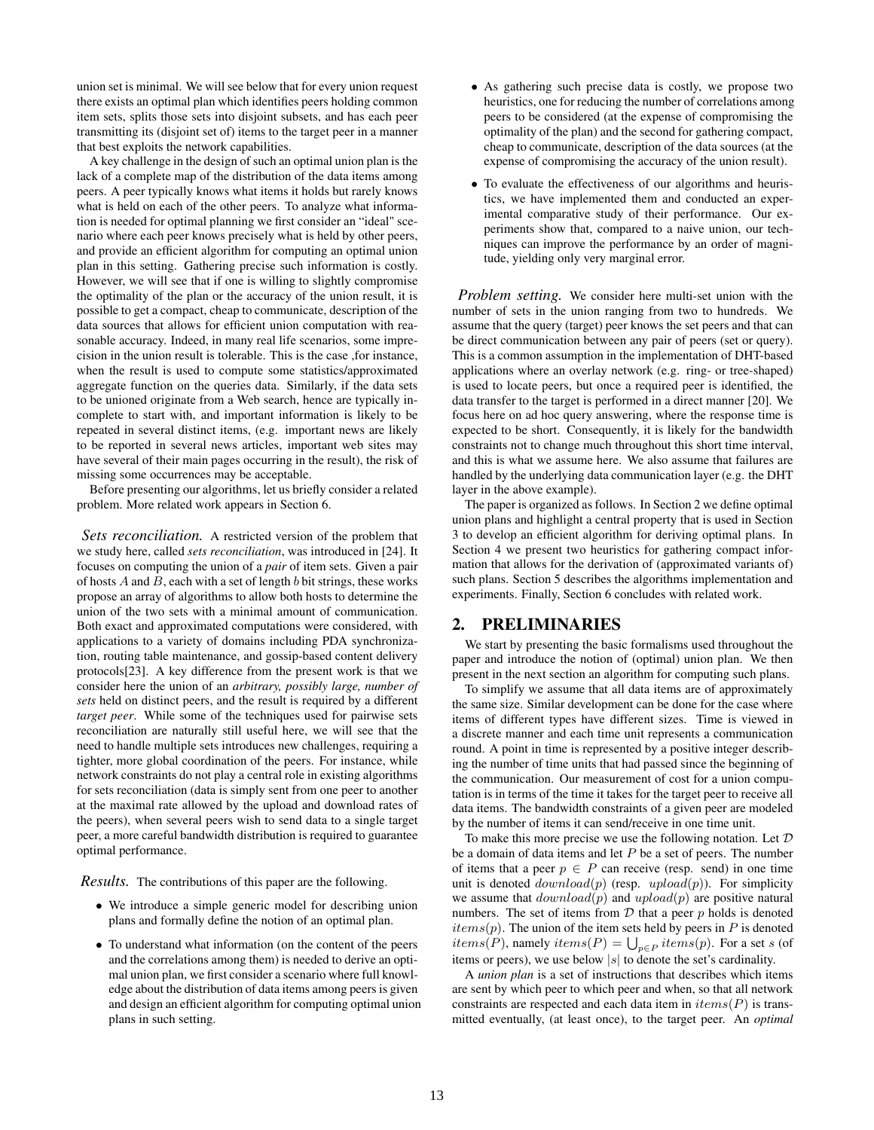union set is minimal. We will see below that for every union request there exists an optimal plan which identifies peers holding common item sets, splits those sets into disjoint subsets, and has each peer transmitting its (disjoint set of) items to the target peer in a manner that best exploits the network capabilities.

A key challenge in the design of such an optimal union plan is the lack of a complete map of the distribution of the data items among peers. A peer typically knows what items it holds but rarely knows what is held on each of the other peers. To analyze what information is needed for optimal planning we first consider an "ideal" scenario where each peer knows precisely what is held by other peers, and provide an efficient algorithm for computing an optimal union plan in this setting. Gathering precise such information is costly. However, we will see that if one is willing to slightly compromise the optimality of the plan or the accuracy of the union result, it is possible to get a compact, cheap to communicate, description of the data sources that allows for efficient union computation with reasonable accuracy. Indeed, in many real life scenarios, some imprecision in the union result is tolerable. This is the case ,for instance, when the result is used to compute some statistics/approximated aggregate function on the queries data. Similarly, if the data sets to be unioned originate from a Web search, hence are typically incomplete to start with, and important information is likely to be repeated in several distinct items, (e.g. important news are likely to be reported in several news articles, important web sites may have several of their main pages occurring in the result), the risk of missing some occurrences may be acceptable.

Before presenting our algorithms, let us briefly consider a related problem. More related work appears in Section 6.

*Sets reconciliation.* A restricted version of the problem that we study here, called *sets reconciliation*, was introduced in [24]. It focuses on computing the union of a *pair* of item sets. Given a pair of hosts  $A$  and  $B$ , each with a set of length  $b$  bit strings, these works propose an array of algorithms to allow both hosts to determine the union of the two sets with a minimal amount of communication. Both exact and approximated computations were considered, with applications to a variety of domains including PDA synchronization, routing table maintenance, and gossip-based content delivery protocols[23]. A key difference from the present work is that we consider here the union of an *arbitrary, possibly large, number of sets* held on distinct peers, and the result is required by a different *target peer*. While some of the techniques used for pairwise sets reconciliation are naturally still useful here, we will see that the need to handle multiple sets introduces new challenges, requiring a tighter, more global coordination of the peers. For instance, while network constraints do not play a central role in existing algorithms for sets reconciliation (data is simply sent from one peer to another at the maximal rate allowed by the upload and download rates of the peers), when several peers wish to send data to a single target peer, a more careful bandwidth distribution is required to guarantee optimal performance.

*Results.* The contributions of this paper are the following.

- We introduce a simple generic model for describing union plans and formally define the notion of an optimal plan.
- To understand what information (on the content of the peers and the correlations among them) is needed to derive an optimal union plan, we first consider a scenario where full knowledge about the distribution of data items among peers is given and design an efficient algorithm for computing optimal union plans in such setting.
- As gathering such precise data is costly, we propose two heuristics, one for reducing the number of correlations among peers to be considered (at the expense of compromising the optimality of the plan) and the second for gathering compact, cheap to communicate, description of the data sources (at the expense of compromising the accuracy of the union result).
- To evaluate the effectiveness of our algorithms and heuristics, we have implemented them and conducted an experimental comparative study of their performance. Our experiments show that, compared to a naive union, our techniques can improve the performance by an order of magnitude, yielding only very marginal error.

*Problem setting.* We consider here multi-set union with the number of sets in the union ranging from two to hundreds. We assume that the query (target) peer knows the set peers and that can be direct communication between any pair of peers (set or query). This is a common assumption in the implementation of DHT-based applications where an overlay network (e.g. ring- or tree-shaped) is used to locate peers, but once a required peer is identified, the data transfer to the target is performed in a direct manner [20]. We focus here on ad hoc query answering, where the response time is expected to be short. Consequently, it is likely for the bandwidth constraints not to change much throughout this short time interval, and this is what we assume here. We also assume that failures are handled by the underlying data communication layer (e.g. the DHT layer in the above example).

The paper is organized as follows. In Section 2 we define optimal union plans and highlight a central property that is used in Section 3 to develop an efficient algorithm for deriving optimal plans. In Section 4 we present two heuristics for gathering compact information that allows for the derivation of (approximated variants of) such plans. Section 5 describes the algorithms implementation and experiments. Finally, Section 6 concludes with related work.

#### 2. PRELIMINARIES

We start by presenting the basic formalisms used throughout the paper and introduce the notion of (optimal) union plan. We then present in the next section an algorithm for computing such plans.

To simplify we assume that all data items are of approximately the same size. Similar development can be done for the case where items of different types have different sizes. Time is viewed in a discrete manner and each time unit represents a communication round. A point in time is represented by a positive integer describing the number of time units that had passed since the beginning of the communication. Our measurement of cost for a union computation is in terms of the time it takes for the target peer to receive all data items. The bandwidth constraints of a given peer are modeled by the number of items it can send/receive in one time unit.

To make this more precise we use the following notation. Let  $D$ be a domain of data items and let  $P$  be a set of peers. The number of items that a peer  $p \in P$  can receive (resp. send) in one time unit is denoted  $download(p)$  (resp.  $upload(p)$ ). For simplicity we assume that  $download(p)$  and  $upload(p)$  are positive natural numbers. The set of items from  $D$  that a peer  $p$  holds is denoted  $items(p)$ . The union of the item sets held by peers in  $P$  is denoted the terms (p). The union of the help sets held by peers in P is denoted<br>items (P), namely items (P) =  $\bigcup_{p \in P}$  items (p). For a set s (of items or peers), we use below  $|s|$  to denote the set's cardinality.

A *union plan* is a set of instructions that describes which items are sent by which peer to which peer and when, so that all network constraints are respected and each data item in  $items(P)$  is transmitted eventually, (at least once), to the target peer. An *optimal*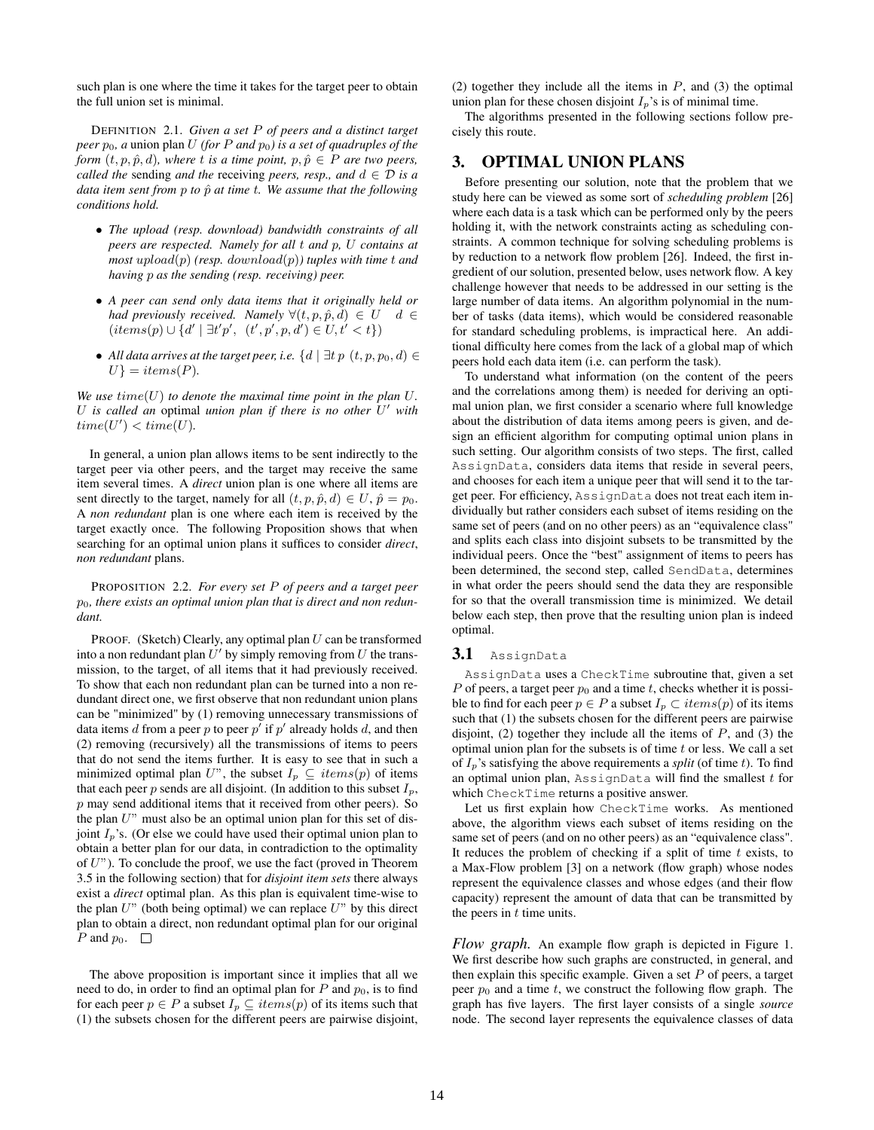such plan is one where the time it takes for the target peer to obtain the full union set is minimal.

DEFINITION 2.1. *Given a set* P *of peers and a distinct target peer*  $p_0$ , *a* union plan U *(for* P *and*  $p_0$ *) is a set of quadruples of the form*  $(t, p, \hat{p}, d)$ *, where t is a time point,*  $p, \hat{p} \in P$  *are two peers, called the* sending *and the* receiving *peers, resp., and*  $d \in \mathcal{D}$  *is a data item sent from p to*  $\hat{p}$  *at time t. We assume that the following conditions hold.*

- *The upload (resp. download) bandwidth constraints of all peers are respected. Namely for all* t *and* p*,* U *contains at most* upload(p) *(resp.* download(p)*) tuples with time* t *and having* p *as the sending (resp. receiving) peer.*
- *A peer can send only data items that it originally held or had previously received. Namely*  $\forall (t, p, \hat{p}, d) \in U \quad d \in$  $(items(p) \cup \{d' \mid \exists t'p', (t', p', p, d') \in U, t' < t\})$
- All data arrives at the target peer, i.e.  $\{d \mid \exists t \ p \ (t, p, p_0, d) \in$  $U$ <sup>}</sup> = *items*(*P*).

We use  $time(U)$  to denote the maximal time point in the plan  $U$ . U *is called an* optimal *union plan if there is no other* U <sup>0</sup> *with*  $time(U') < time(U)$ .

In general, a union plan allows items to be sent indirectly to the target peer via other peers, and the target may receive the same item several times. A *direct* union plan is one where all items are sent directly to the target, namely for all  $(t, p, \hat{p}, d) \in U$ ,  $\hat{p} = p_0$ . A *non redundant* plan is one where each item is received by the target exactly once. The following Proposition shows that when searching for an optimal union plans it suffices to consider *direct*, *non redundant* plans.

PROPOSITION 2.2. *For every set* P *of peers and a target peer* p0*, there exists an optimal union plan that is direct and non redundant.*

PROOF. (Sketch) Clearly, any optimal plan  $U$  can be transformed into a non redundant plan  $U'$  by simply removing from U the transmission, to the target, of all items that it had previously received. To show that each non redundant plan can be turned into a non redundant direct one, we first observe that non redundant union plans can be "minimized" by (1) removing unnecessary transmissions of data items d from a peer p to peer  $p'$  if  $p'$  already holds d, and then (2) removing (recursively) all the transmissions of items to peers that do not send the items further. It is easy to see that in such a minimized optimal plan U", the subset  $I_p \subseteq items(p)$  of items that each peer p sends are all disjoint. (In addition to this subset  $I_p$ ,  $p$  may send additional items that it received from other peers). So the plan  $U$ " must also be an optimal union plan for this set of disjoint  $I_p$ 's. (Or else we could have used their optimal union plan to obtain a better plan for our data, in contradiction to the optimality of  $U$ "). To conclude the proof, we use the fact (proved in Theorem 3.5 in the following section) that for *disjoint item sets* there always exist a *direct* optimal plan. As this plan is equivalent time-wise to the plan  $U$ " (both being optimal) we can replace  $U$ " by this direct plan to obtain a direct, non redundant optimal plan for our original P and  $p_0$ .  $\Box$ 

The above proposition is important since it implies that all we need to do, in order to find an optimal plan for  $P$  and  $p_0$ , is to find for each peer  $p \in P$  a subset  $I_p \subseteq items(p)$  of its items such that (1) the subsets chosen for the different peers are pairwise disjoint,

(2) together they include all the items in  $P$ , and (3) the optimal union plan for these chosen disjoint  $I_p$ 's is of minimal time.

The algorithms presented in the following sections follow precisely this route.

# 3. OPTIMAL UNION PLANS

Before presenting our solution, note that the problem that we study here can be viewed as some sort of *scheduling problem* [26] where each data is a task which can be performed only by the peers holding it, with the network constraints acting as scheduling constraints. A common technique for solving scheduling problems is by reduction to a network flow problem [26]. Indeed, the first ingredient of our solution, presented below, uses network flow. A key challenge however that needs to be addressed in our setting is the large number of data items. An algorithm polynomial in the number of tasks (data items), which would be considered reasonable for standard scheduling problems, is impractical here. An additional difficulty here comes from the lack of a global map of which peers hold each data item (i.e. can perform the task).

To understand what information (on the content of the peers and the correlations among them) is needed for deriving an optimal union plan, we first consider a scenario where full knowledge about the distribution of data items among peers is given, and design an efficient algorithm for computing optimal union plans in such setting. Our algorithm consists of two steps. The first, called AssignData, considers data items that reside in several peers, and chooses for each item a unique peer that will send it to the target peer. For efficiency, AssignData does not treat each item individually but rather considers each subset of items residing on the same set of peers (and on no other peers) as an "equivalence class" and splits each class into disjoint subsets to be transmitted by the individual peers. Once the "best" assignment of items to peers has been determined, the second step, called SendData, determines in what order the peers should send the data they are responsible for so that the overall transmission time is minimized. We detail below each step, then prove that the resulting union plan is indeed optimal.

#### 3.1 AssignData

AssignData uses a CheckTime subroutine that, given a set P of peers, a target peer  $p_0$  and a time t, checks whether it is possible to find for each peer  $p \in P$  a subset  $I_p \subset items(p)$  of its items such that (1) the subsets chosen for the different peers are pairwise disjoint, (2) together they include all the items of  $P$ , and (3) the optimal union plan for the subsets is of time  $t$  or less. We call a set of  $I_p$ 's satisfying the above requirements a *split* (of time t). To find an optimal union plan, AssignData will find the smallest  $t$  for which CheckTime returns a positive answer.

Let us first explain how CheckTime works. As mentioned above, the algorithm views each subset of items residing on the same set of peers (and on no other peers) as an "equivalence class". It reduces the problem of checking if a split of time  $t$  exists, to a Max-Flow problem [3] on a network (flow graph) whose nodes represent the equivalence classes and whose edges (and their flow capacity) represent the amount of data that can be transmitted by the peers in  $t$  time units.

*Flow graph.* An example flow graph is depicted in Figure 1. We first describe how such graphs are constructed, in general, and then explain this specific example. Given a set  $P$  of peers, a target peer  $p_0$  and a time t, we construct the following flow graph. The graph has five layers. The first layer consists of a single *source* node. The second layer represents the equivalence classes of data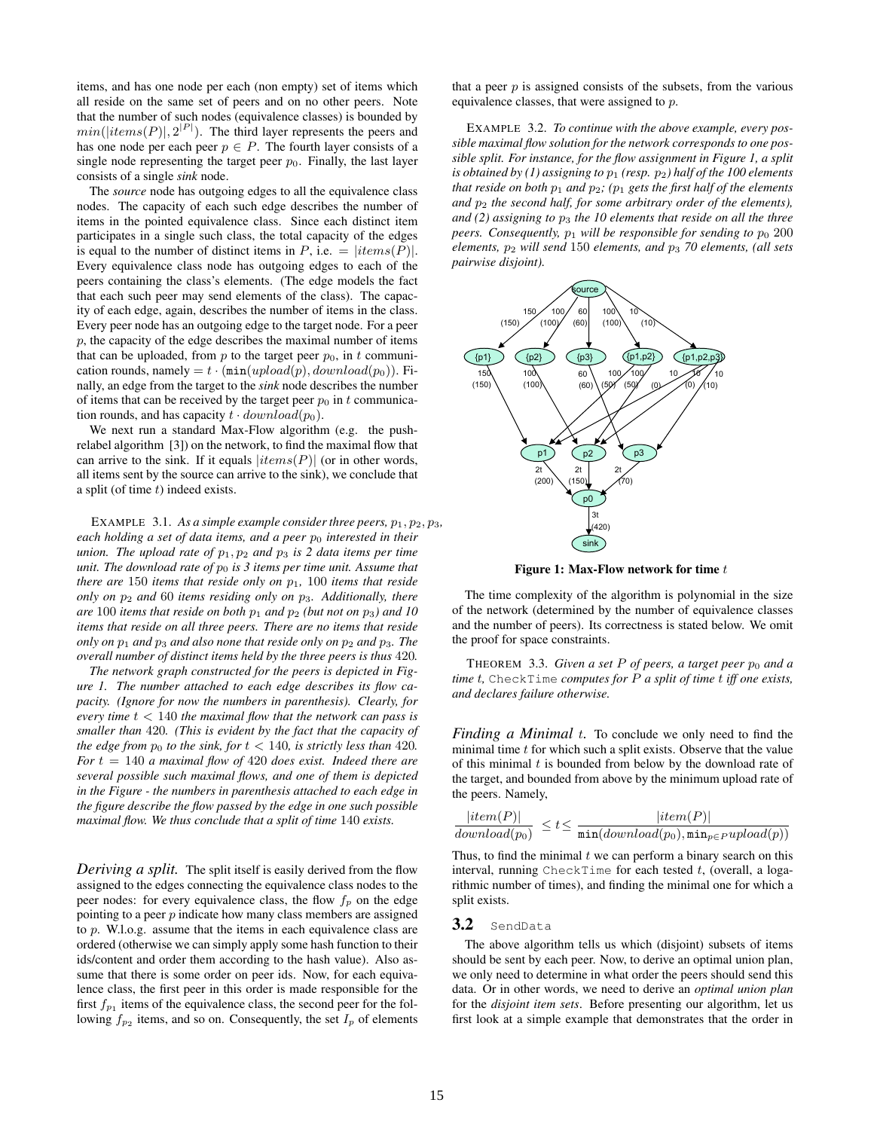items, and has one node per each (non empty) set of items which all reside on the same set of peers and on no other peers. Note that the number of such nodes (equivalence classes) is bounded by  $min(|items(P)|, 2^{|P|})$ . The third layer represents the peers and has one node per each peer  $p \in P$ . The fourth layer consists of a single node representing the target peer  $p_0$ . Finally, the last layer consists of a single *sink* node.

The *source* node has outgoing edges to all the equivalence class nodes. The capacity of each such edge describes the number of items in the pointed equivalence class. Since each distinct item participates in a single such class, the total capacity of the edges is equal to the number of distinct items in P, i.e.  $= |items(P)|$ . Every equivalence class node has outgoing edges to each of the peers containing the class's elements. (The edge models the fact that each such peer may send elements of the class). The capacity of each edge, again, describes the number of items in the class. Every peer node has an outgoing edge to the target node. For a peer  $p$ , the capacity of the edge describes the maximal number of items that can be uploaded, from  $p$  to the target peer  $p_0$ , in  $t$  communication rounds, namely =  $t \cdot (\min(upload(p),download(p_0))$ . Finally, an edge from the target to the *sink* node describes the number of items that can be received by the target peer  $p_0$  in t communication rounds, and has capacity  $t \cdot download(p_0)$ .

We next run a standard Max-Flow algorithm (e.g. the pushrelabel algorithm [3]) on the network, to find the maximal flow that can arrive to the sink. If it equals  $|items(P)|$  (or in other words, all items sent by the source can arrive to the sink), we conclude that a split (of time  $t$ ) indeed exists.

EXAMPLE 3.1. As a simple example consider three peers,  $p_1, p_2, p_3$ , *each holding a set of data items, and a peer p<sub>0</sub> interested in their union. The upload rate of*  $p_1, p_2$  *and*  $p_3$  *is 2 data items per time unit. The download rate of*  $p_0$  *is 3 items per time unit. Assume that there are* 150 *items that reside only on* p1*,* 100 *items that reside only on* p<sup>2</sup> *and* 60 *items residing only on* p3*. Additionally, there are* 100 *items that reside on both*  $p_1$  *and*  $p_2$  *(but not on*  $p_3$ *) and 10 items that reside on all three peers. There are no items that reside only on*  $p_1$  *and*  $p_3$  *and also none that reside only on*  $p_2$  *and*  $p_3$ *. The overall number of distinct items held by the three peers is thus* 420*.*

*The network graph constructed for the peers is depicted in Figure 1. The number attached to each edge describes its flow capacity. (Ignore for now the numbers in parenthesis). Clearly, for every time* t < 140 *the maximal flow that the network can pass is smaller than* 420*. (This is evident by the fact that the capacity of the edge from*  $p_0$  *to the sink, for*  $t < 140$ *, is strictly less than* 420*. For* t = 140 *a maximal flow of* 420 *does exist. Indeed there are several possible such maximal flows, and one of them is depicted in the Figure - the numbers in parenthesis attached to each edge in the figure describe the flow passed by the edge in one such possible maximal flow. We thus conclude that a split of time* 140 *exists.*

*Deriving a split.* The split itself is easily derived from the flow assigned to the edges connecting the equivalence class nodes to the peer nodes: for every equivalence class, the flow  $f_p$  on the edge pointing to a peer  $p$  indicate how many class members are assigned to p. W.l.o.g. assume that the items in each equivalence class are ordered (otherwise we can simply apply some hash function to their ids/content and order them according to the hash value). Also assume that there is some order on peer ids. Now, for each equivalence class, the first peer in this order is made responsible for the first  $f_{p_1}$  items of the equivalence class, the second peer for the following  $f_{p_2}$  items, and so on. Consequently, the set  $I_p$  of elements

that a peer  $p$  is assigned consists of the subsets, from the various equivalence classes, that were assigned to p.

EXAMPLE 3.2. *To continue with the above example, every possible maximal flow solution for the network corresponds to one possible split. For instance, for the flow assignment in Figure 1, a split is obtained by (1) assigning to* p<sup>1</sup> *(resp.* p2*) half of the 100 elements that reside on both*  $p_1$  *and*  $p_2$ *; (* $p_1$  *gets the first half of the elements and* p<sup>2</sup> *the second half, for some arbitrary order of the elements), and (2) assigning to* p<sup>3</sup> *the 10 elements that reside on all the three peers. Consequently,*  $p_1$  *will be responsible for sending to*  $p_0$  200 *elements,*  $p_2$  *will send* 150 *elements, and*  $p_3$  *70 elements, (all sets pairwise disjoint).*



Figure 1: Max-Flow network for time  $t$ 

The time complexity of the algorithm is polynomial in the size of the network (determined by the number of equivalence classes and the number of peers). Its correctness is stated below. We omit the proof for space constraints.

THEOREM 3.3. *Given a set* P of peers, a target peer  $p_0$  and a *time* t*,* CheckTime *computes for* P *a split of time* t *iff one exists, and declares failure otherwise.*

*Finding a Minimal t.* To conclude we only need to find the minimal time  $t$  for which such a split exists. Observe that the value of this minimal  $t$  is bounded from below by the download rate of the target, and bounded from above by the minimum upload rate of the peers. Namely,

$$
\frac{|item(P)|}{download(p_0)} \leq t \leq \frac{|item(P)|}{\min(download(p_0), \min_{p \in P} upload(p))}
$$

Thus, to find the minimal  $t$  we can perform a binary search on this interval, running CheckTime for each tested  $t$ , (overall, a logarithmic number of times), and finding the minimal one for which a split exists.

#### 3.2 SendData

The above algorithm tells us which (disjoint) subsets of items should be sent by each peer. Now, to derive an optimal union plan, we only need to determine in what order the peers should send this data. Or in other words, we need to derive an *optimal union plan* for the *disjoint item sets*. Before presenting our algorithm, let us first look at a simple example that demonstrates that the order in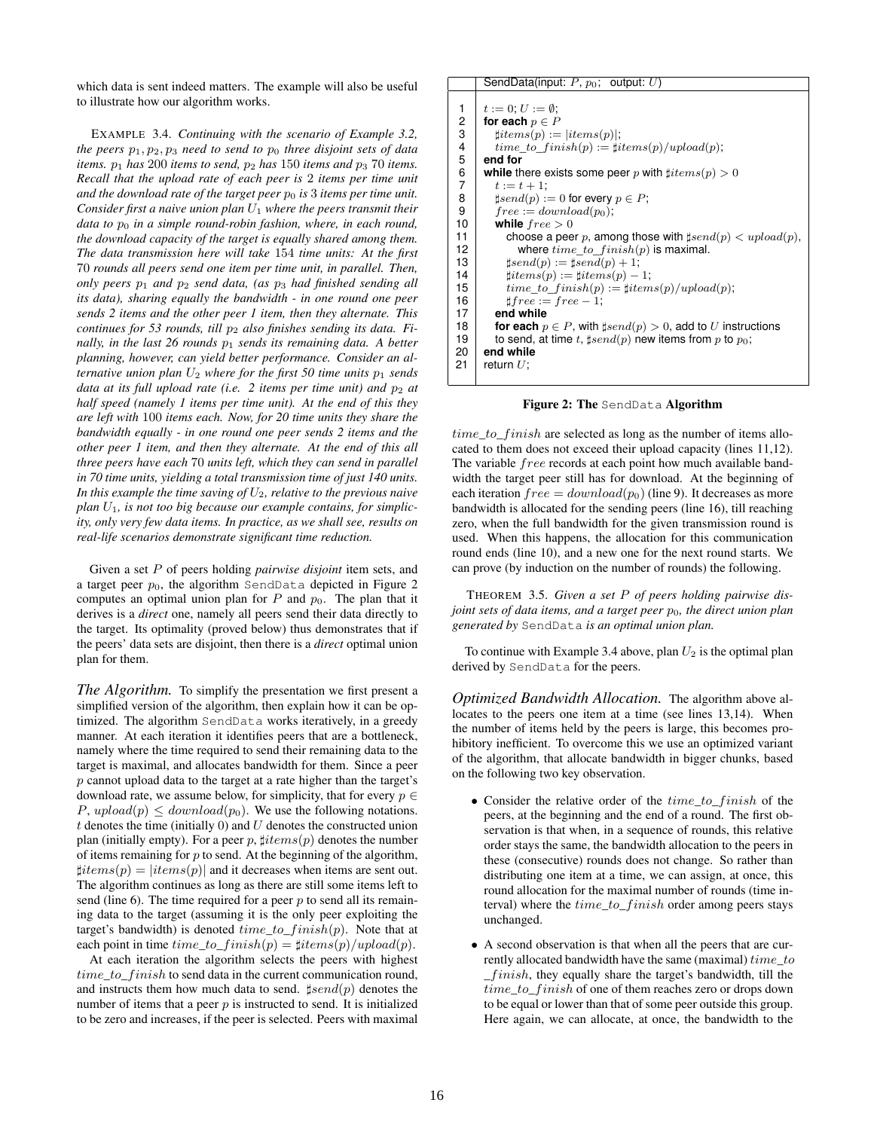which data is sent indeed matters. The example will also be useful to illustrate how our algorithm works.

EXAMPLE 3.4. *Continuing with the scenario of Example 3.2, the peers*  $p_1, p_2, p_3$  *need to send to*  $p_0$  *three disjoint sets of data items.*  $p_1$  *has* 200 *items to send,*  $p_2$  *has* 150 *items and*  $p_3$  70 *items. Recall that the upload rate of each peer is* 2 *items per time unit* and the download rate of the target peer  $p_0$  is 3 items per time unit. *Consider first a naive union plan* U<sup>1</sup> *where the peers transmit their data to*  $p_0$  *in a simple round-robin fashion, where, in each round, the download capacity of the target is equally shared among them. The data transmission here will take* 154 *time units: At the first* 70 *rounds all peers send one item per time unit, in parallel. Then, only peers*  $p_1$  *and*  $p_2$  *send data, (as*  $p_3$  *had finished sending all its data), sharing equally the bandwidth - in one round one peer sends 2 items and the other peer 1 item, then they alternate. This continues for 53 rounds, till p<sub>2</sub> also finishes sending its data. Finally, in the last 26 rounds*  $p_1$  *sends its remaining data. A better planning, however, can yield better performance. Consider an alternative union plan*  $U_2$  *where for the first 50 time units*  $p_1$  *sends data at its full upload rate (i.e. 2 items per time unit) and p<sub>2</sub> at half speed (namely 1 items per time unit). At the end of this they are left with* 100 *items each. Now, for 20 time units they share the bandwidth equally - in one round one peer sends 2 items and the other peer 1 item, and then they alternate. At the end of this all three peers have each* 70 *units left, which they can send in parallel in 70 time units, yielding a total transmission time of just 140 units. In this example the time saving of* U2*, relative to the previous naive plan* U1*, is not too big because our example contains, for simplicity, only very few data items. In practice, as we shall see, results on real-life scenarios demonstrate significant time reduction.*

Given a set P of peers holding *pairwise disjoint* item sets, and a target peer  $p_0$ , the algorithm SendData depicted in Figure 2 computes an optimal union plan for  $P$  and  $p_0$ . The plan that it derives is a *direct* one, namely all peers send their data directly to the target. Its optimality (proved below) thus demonstrates that if the peers' data sets are disjoint, then there is a *direct* optimal union plan for them.

*The Algorithm.* To simplify the presentation we first present a simplified version of the algorithm, then explain how it can be optimized. The algorithm SendData works iteratively, in a greedy manner. At each iteration it identifies peers that are a bottleneck, namely where the time required to send their remaining data to the target is maximal, and allocates bandwidth for them. Since a peer  $p$  cannot upload data to the target at a rate higher than the target's download rate, we assume below, for simplicity, that for every  $p \in$  $P, upload(p) \leq download(p_0)$ . We use the following notations.  $t$  denotes the time (initially 0) and  $U$  denotes the constructed union plan (initially empty). For a peer p,  $\sharp items(p)$  denotes the number of items remaining for  $p$  to send. At the beginning of the algorithm,  $\exists items(p) = |items(p)|$  and it decreases when items are sent out. The algorithm continues as long as there are still some items left to send (line 6). The time required for a peer  $p$  to send all its remaining data to the target (assuming it is the only peer exploiting the target's bandwidth) is denoted  $time_to\_ finish(p)$ . Note that at each point in time  $time\_to\_f inish(p) = \frac{t}{time}$   $p)/upload(p)$ .

At each iteration the algorithm selects the peers with highest  $time_to_f inish$  to send data in the current communication round, and instructs them how much data to send.  $\sharp send(p)$  denotes the number of items that a peer  $p$  is instructed to send. It is initialized to be zero and increases, if the peer is selected. Peers with maximal

```
SendData(input: P, p_0; output: U)
1 t := 0; U := \emptyset;<br>2 for each p \in F2 for each p \in P<br>3 filters(p) =
 3 ]items(p) := |items(p)|;
4 time_to_finish(p) := \frac{\# items(p)}{\# thensh(p)};
 5 end for
 6 while there exists some peer p with \sharp items(p) > 0<br>7 t := t + 1:
\begin{array}{c|c} 7 & t := t + 1; \\ 8 & \text{tsend}(p) : \\ \end{array}8 \downarrow send(p) := 0 for every p \in P;<br>9 \downarrow free := download(p<sub>0</sub>);
9 free := download(p_0);<br>10 while free > 0while free > 011 choose a peer p, among those with \sharp send(p) < upload(p),<br>12 where time to finish(p) is maximal.
                   where time\_to\_finish(p) is maximal.
13 | \sharp send(p) := \sharp send(p) + 1;14 \qquad \qquad \text{fitems}(p) := \text{fitems}(p) - 1;15 time_to\_ finish(p) := \sharp items(p)/upload(p);16 | \qquad \qquad \qquad \qquad \qquad \qquad \qquad \qquad \qquad \qquad \qquad \qquad \qquad \qquad \qquad \qquad \qquad \qquad \qquad \qquad \qquad \qquad \qquad \qquad \qquad \qquad \qquad \qquad \qquad \qquad \qquad \qquad \qquad \qquad \qquad \qquad 
17 end while
18 for each p \in P, with \sharp send(p) > 0, add to U instructions
19 to send, at time t, \sharp send(p) new items from p to p_0;<br>20 end while
        20 end while
21 | return U;
```
Figure 2: The SendData Algorithm

time\_to\_finish are selected as long as the number of items allocated to them does not exceed their upload capacity (lines 11,12). The variable free records at each point how much available bandwidth the target peer still has for download. At the beginning of each iteration  $free = download(p_0)$  (line 9). It decreases as more bandwidth is allocated for the sending peers (line 16), till reaching zero, when the full bandwidth for the given transmission round is used. When this happens, the allocation for this communication round ends (line 10), and a new one for the next round starts. We can prove (by induction on the number of rounds) the following.

THEOREM 3.5. *Given a set* P *of peers holding pairwise disjoint sets of data items, and a target peer*  $p_0$ *, the direct union plan generated by* SendData *is an optimal union plan.*

To continue with Example 3.4 above, plan  $U_2$  is the optimal plan derived by SendData for the peers.

*Optimized Bandwidth Allocation.* The algorithm above allocates to the peers one item at a time (see lines 13,14). When the number of items held by the peers is large, this becomes prohibitory inefficient. To overcome this we use an optimized variant of the algorithm, that allocate bandwidth in bigger chunks, based on the following two key observation.

- Consider the relative order of the  $time\_to\_f inish$  of the peers, at the beginning and the end of a round. The first observation is that when, in a sequence of rounds, this relative order stays the same, the bandwidth allocation to the peers in these (consecutive) rounds does not change. So rather than distributing one item at a time, we can assign, at once, this round allocation for the maximal number of rounds (time interval) where the  $time\_to\_f inish$  order among peers stays unchanged.
- A second observation is that when all the peers that are currently allocated bandwidth have the same (maximal)  $time\_to$ \_f inish, they equally share the target's bandwidth, till the time\_to\_finish of one of them reaches zero or drops down to be equal or lower than that of some peer outside this group. Here again, we can allocate, at once, the bandwidth to the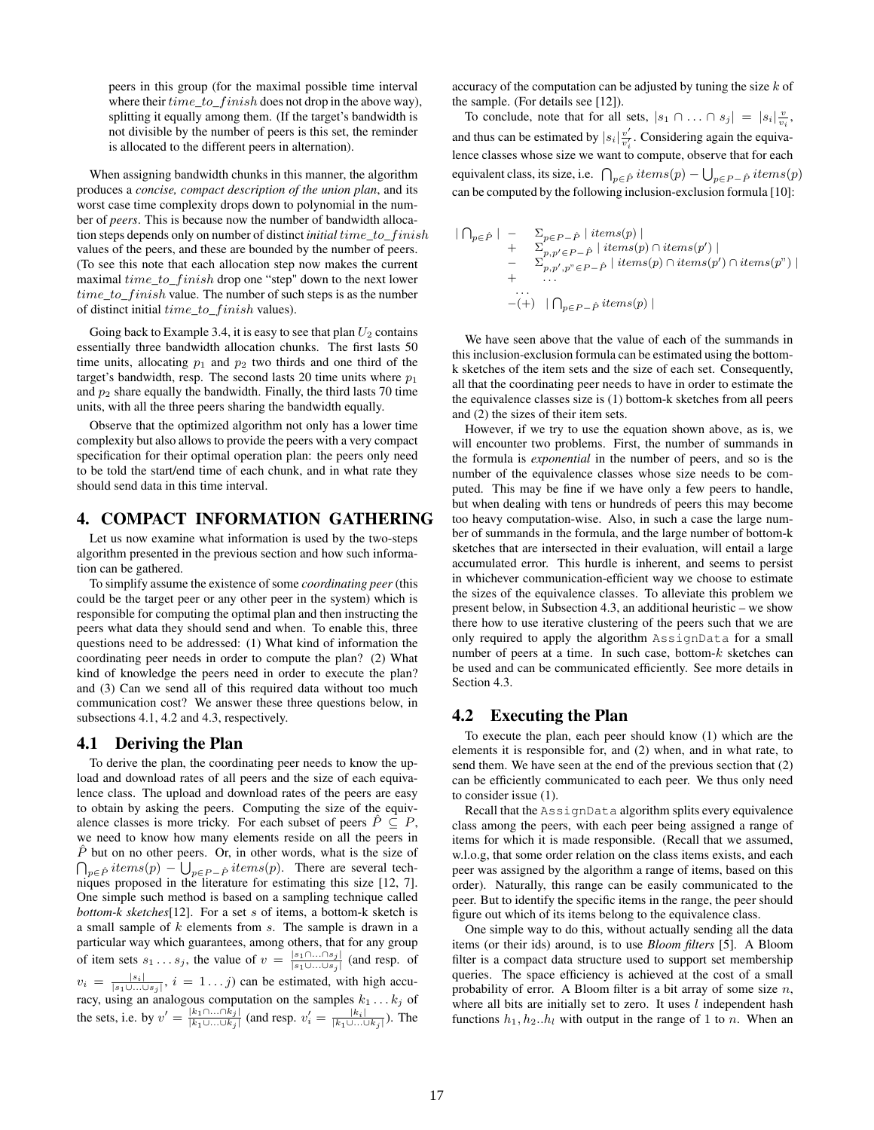peers in this group (for the maximal possible time interval where their  $time\_to\_f inish$  does not drop in the above way), splitting it equally among them. (If the target's bandwidth is not divisible by the number of peers is this set, the reminder is allocated to the different peers in alternation).

When assigning bandwidth chunks in this manner, the algorithm produces a *concise, compact description of the union plan*, and its worst case time complexity drops down to polynomial in the number of *peers*. This is because now the number of bandwidth allocation steps depends only on number of distinct *initial* time\_to\_f inish values of the peers, and these are bounded by the number of peers. (To see this note that each allocation step now makes the current maximal  $time\_to\_f inish$  drop one "step" down to the next lower  $time\_to\_f inish$  value. The number of such steps is as the number of distinct initial time\_to\_f inish values).

Going back to Example 3.4, it is easy to see that plan  $U_2$  contains essentially three bandwidth allocation chunks. The first lasts 50 time units, allocating  $p_1$  and  $p_2$  two thirds and one third of the target's bandwidth, resp. The second lasts 20 time units where  $p_1$ and  $p_2$  share equally the bandwidth. Finally, the third lasts 70 time units, with all the three peers sharing the bandwidth equally.

Observe that the optimized algorithm not only has a lower time complexity but also allows to provide the peers with a very compact specification for their optimal operation plan: the peers only need to be told the start/end time of each chunk, and in what rate they should send data in this time interval.

# 4. COMPACT INFORMATION GATHERING

Let us now examine what information is used by the two-steps algorithm presented in the previous section and how such information can be gathered.

To simplify assume the existence of some *coordinating peer* (this could be the target peer or any other peer in the system) which is responsible for computing the optimal plan and then instructing the peers what data they should send and when. To enable this, three questions need to be addressed: (1) What kind of information the coordinating peer needs in order to compute the plan? (2) What kind of knowledge the peers need in order to execute the plan? and (3) Can we send all of this required data without too much communication cost? We answer these three questions below, in subsections 4.1, 4.2 and 4.3, respectively.

#### 4.1 Deriving the Plan

To derive the plan, the coordinating peer needs to know the upload and download rates of all peers and the size of each equivalence class. The upload and download rates of the peers are easy to obtain by asking the peers. Computing the size of the equivalence classes is more tricky. For each subset of peers  $\hat{P} \subseteq P$ , we need to know how many elements reside on all the peers in  $\hat{P}$  but on no other peers. Or, in other words, what is the size of  $p_{p\in\hat{P}}\text{ items}(p) - \bigcup_{p\in P-\hat{P}}\text{ items}(p).$  There are several techniques proposed in the literature for estimating this size [12, 7]. One simple such method is based on a sampling technique called *bottom-k sketches*[12]. For a set s of items, a bottom-k sketch is a small sample of  $k$  elements from  $s$ . The sample is drawn in a particular way which guarantees, among others, that for any group of item sets  $s_1 \dots s_j$ , the value of  $v = \frac{|s_1 \cap \dots \cap s_j|}{|s_1 \cap \dots \cap s_j|}$  $\frac{|s_1|\dots|s_j|}{|s_1\cup...\cup s_j|}$  (and resp. of  $v_i = \frac{|s_i|}{|s_1 \cup ... \cup s_j|}, i = 1...j$  can be estimated, with high accuracy, using an analogous computation on the samples  $k_1 \ldots k_j$  of the sets, i.e. by  $v' = \frac{|k_1 \cap ... \cap k_j|}{|k_1 \cap ... \cap k_j|}$  $\frac{|k_1 \cap ... \cap k_j|}{|k_1 \cup ... \cup k_j|}$  (and resp.  $v'_i = \frac{|k_i|}{|k_1 \cup ... \cup k_j|}$ ). The

accuracy of the computation can be adjusted by tuning the size  $k$  of the sample. (For details see [12]).

To conclude, note that for all sets,  $|s_1 \cap ... \cap s_j| = |s_i| \frac{v}{v_i}$ , and thus can be estimated by  $|s_i|\frac{v'}{v'}$  $\frac{v'}{v'_i}$ . Considering again the equivalence classes whose size we want to compute, observe that for each S equivalent class, its size, i.e.  $\bigcap_{p \in \hat{P}}$  items(p)  $-\bigcup_{p \in P-\hat{P}}$  items(p) can be computed by the following inclusion-exclusion formula [10]:

$$
\begin{array}{rcl}\n|\bigcap_{p\in\hat{P}}| & - & \sum_{p\in P-\hat{P}}|\operatorname{items}(p)| \\
 & + & \sum_{p,p'\in P-\hat{P}}|\operatorname{items}(p)\cap\operatorname{items}(p')| \\
 & - & \sum_{p,p',p''\in P-\hat{P}}|\operatorname{items}(p)\cap\operatorname{items}(p')\cap\operatorname{items}(p'')| \\
 & + & \cdots \\
 & & \cdots \\
 & & & \cdots \\
 & & & - (+)\bigcap_{p\in P-\hat{P}}\operatorname{items}(p)\big|\n\end{array}
$$

We have seen above that the value of each of the summands in this inclusion-exclusion formula can be estimated using the bottomk sketches of the item sets and the size of each set. Consequently, all that the coordinating peer needs to have in order to estimate the the equivalence classes size is (1) bottom-k sketches from all peers and (2) the sizes of their item sets.

However, if we try to use the equation shown above, as is, we will encounter two problems. First, the number of summands in the formula is *exponential* in the number of peers, and so is the number of the equivalence classes whose size needs to be computed. This may be fine if we have only a few peers to handle, but when dealing with tens or hundreds of peers this may become too heavy computation-wise. Also, in such a case the large number of summands in the formula, and the large number of bottom-k sketches that are intersected in their evaluation, will entail a large accumulated error. This hurdle is inherent, and seems to persist in whichever communication-efficient way we choose to estimate the sizes of the equivalence classes. To alleviate this problem we present below, in Subsection 4.3, an additional heuristic – we show there how to use iterative clustering of the peers such that we are only required to apply the algorithm AssignData for a small number of peers at a time. In such case, bottom- $k$  sketches can be used and can be communicated efficiently. See more details in Section 4.3.

#### 4.2 Executing the Plan

To execute the plan, each peer should know (1) which are the elements it is responsible for, and (2) when, and in what rate, to send them. We have seen at the end of the previous section that (2) can be efficiently communicated to each peer. We thus only need to consider issue (1).

Recall that the AssignData algorithm splits every equivalence class among the peers, with each peer being assigned a range of items for which it is made responsible. (Recall that we assumed, w.l.o.g, that some order relation on the class items exists, and each peer was assigned by the algorithm a range of items, based on this order). Naturally, this range can be easily communicated to the peer. But to identify the specific items in the range, the peer should figure out which of its items belong to the equivalence class.

One simple way to do this, without actually sending all the data items (or their ids) around, is to use *Bloom filters* [5]. A Bloom filter is a compact data structure used to support set membership queries. The space efficiency is achieved at the cost of a small probability of error. A Bloom filter is a bit array of some size  $n$ , where all bits are initially set to zero. It uses  $l$  independent hash functions  $h_1$ ,  $h_2$ .. $h_l$  with output in the range of 1 to n. When an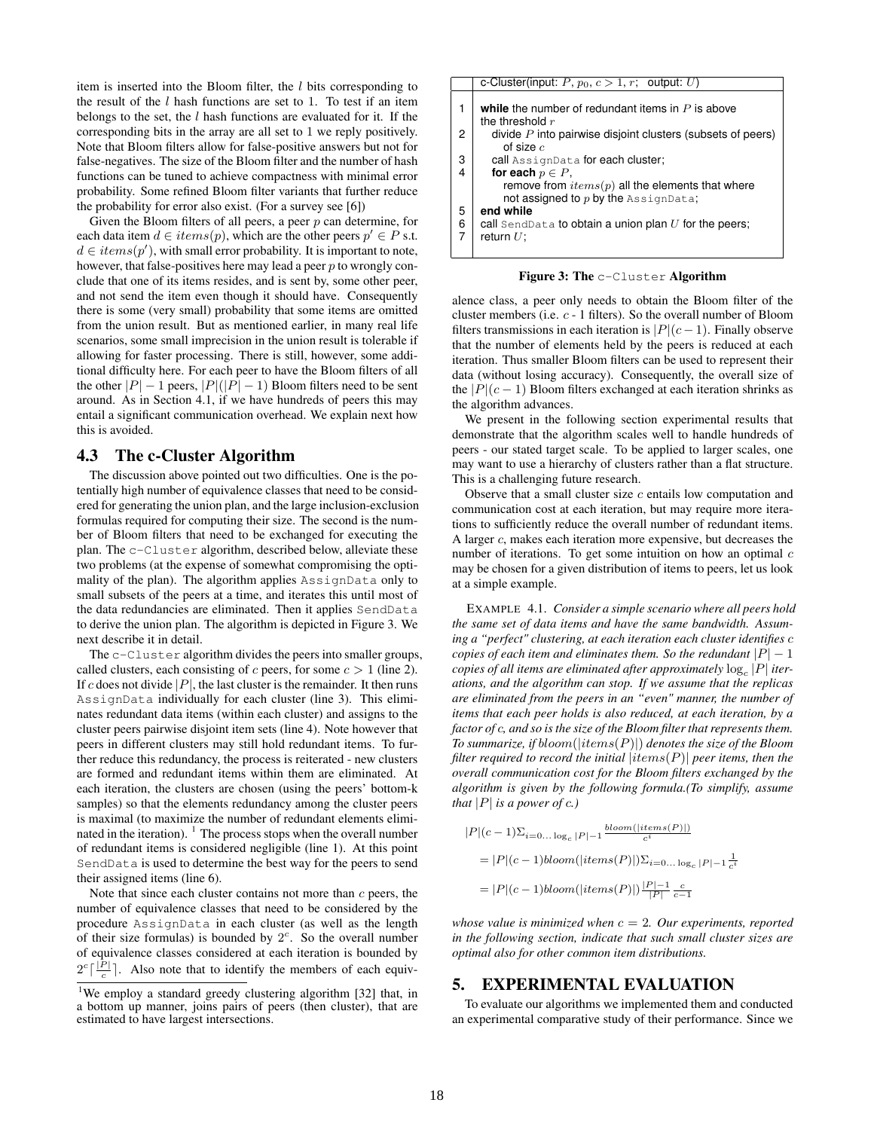item is inserted into the Bloom filter, the  $l$  bits corresponding to the result of the  $l$  hash functions are set to 1. To test if an item belongs to the set, the  $l$  hash functions are evaluated for it. If the corresponding bits in the array are all set to 1 we reply positively. Note that Bloom filters allow for false-positive answers but not for false-negatives. The size of the Bloom filter and the number of hash functions can be tuned to achieve compactness with minimal error probability. Some refined Bloom filter variants that further reduce the probability for error also exist. (For a survey see [6])

Given the Bloom filters of all peers, a peer  $p$  can determine, for each data item  $d \in items(p)$ , which are the other peers  $p' \in P$  s.t.  $d \in items(p')$ , with small error probability. It is important to note, however, that false-positives here may lead a peer  $p$  to wrongly conclude that one of its items resides, and is sent by, some other peer, and not send the item even though it should have. Consequently there is some (very small) probability that some items are omitted from the union result. But as mentioned earlier, in many real life scenarios, some small imprecision in the union result is tolerable if allowing for faster processing. There is still, however, some additional difficulty here. For each peer to have the Bloom filters of all the other  $|P| - 1$  peers,  $|P|(|P| - 1)$  Bloom filters need to be sent around. As in Section 4.1, if we have hundreds of peers this may entail a significant communication overhead. We explain next how this is avoided.

#### 4.3 The c-Cluster Algorithm

The discussion above pointed out two difficulties. One is the potentially high number of equivalence classes that need to be considered for generating the union plan, and the large inclusion-exclusion formulas required for computing their size. The second is the number of Bloom filters that need to be exchanged for executing the plan. The c-Cluster algorithm, described below, alleviate these two problems (at the expense of somewhat compromising the optimality of the plan). The algorithm applies AssignData only to small subsets of the peers at a time, and iterates this until most of the data redundancies are eliminated. Then it applies SendData to derive the union plan. The algorithm is depicted in Figure 3. We next describe it in detail.

The c-Cluster algorithm divides the peers into smaller groups, called clusters, each consisting of c peers, for some  $c > 1$  (line 2). If c does not divide  $|P|$ , the last cluster is the remainder. It then runs AssignData individually for each cluster (line 3). This eliminates redundant data items (within each cluster) and assigns to the cluster peers pairwise disjoint item sets (line 4). Note however that peers in different clusters may still hold redundant items. To further reduce this redundancy, the process is reiterated - new clusters are formed and redundant items within them are eliminated. At each iteration, the clusters are chosen (using the peers' bottom-k samples) so that the elements redundancy among the cluster peers is maximal (to maximize the number of redundant elements eliminated in the iteration).  $\frac{1}{1}$  The process stops when the overall number of redundant items is considered negligible (line 1). At this point SendData is used to determine the best way for the peers to send their assigned items (line 6).

Note that since each cluster contains not more than  $c$  peers, the number of equivalence classes that need to be considered by the procedure AssignData in each cluster (as well as the length of their size formulas) is bounded by  $2<sup>c</sup>$ . So the overall number of equivalence classes considered at each iteration is bounded by  $2^c \lceil \frac{|P|}{c} \rceil$ . Also note that to identify the members of each equiv-

|             | c-Cluster(input: P, $p_0, c > 1, r$ ; output: U)                                             |  |  |
|-------------|----------------------------------------------------------------------------------------------|--|--|
| 1           | while the number of redundant items in $P$ is above<br>the threshold $r$                     |  |  |
| 2           | divide $P$ into pairwise disjoint clusters (subsets of peers)<br>of size $c$                 |  |  |
| 3           | call AssignData for each cluster;                                                            |  |  |
| 4           | for each $p \in P$ ,                                                                         |  |  |
|             | remove from $items(p)$ all the elements that where<br>not assigned to $p$ by the AssignData; |  |  |
|             | end while                                                                                    |  |  |
| 5<br>6<br>7 | call SendData to obtain a union plan $U$ for the peers;                                      |  |  |
|             | return $U$ :                                                                                 |  |  |
|             |                                                                                              |  |  |

Figure 3: The c-Cluster Algorithm

alence class, a peer only needs to obtain the Bloom filter of the cluster members (i.e. c - 1 filters). So the overall number of Bloom filters transmissions in each iteration is  $|P|(c-1)$ . Finally observe that the number of elements held by the peers is reduced at each iteration. Thus smaller Bloom filters can be used to represent their data (without losing accuracy). Consequently, the overall size of the  $|P|(c-1)$  Bloom filters exchanged at each iteration shrinks as the algorithm advances.

We present in the following section experimental results that demonstrate that the algorithm scales well to handle hundreds of peers - our stated target scale. To be applied to larger scales, one may want to use a hierarchy of clusters rather than a flat structure. This is a challenging future research.

Observe that a small cluster size  $c$  entails low computation and communication cost at each iteration, but may require more iterations to sufficiently reduce the overall number of redundant items. A larger c, makes each iteration more expensive, but decreases the number of iterations. To get some intuition on how an optimal  $c$ may be chosen for a given distribution of items to peers, let us look at a simple example.

EXAMPLE 4.1. *Consider a simple scenario where all peers hold the same set of data items and have the same bandwidth. Assuming a "perfect" clustering, at each iteration each cluster identifies* c *copies of each item and eliminates them. So the redundant*  $|P| - 1$  $\mathit{copies}$  of all items are eliminated after approximately  $\log_{c}|P|$  iter*ations, and the algorithm can stop. If we assume that the replicas are eliminated from the peers in an "even" manner, the number of items that each peer holds is also reduced, at each iteration, by a factor of* c*, and so is the size of the Bloom filter that represents them. To summarize, if* bloom(|items(P)|) *denotes the size of the Bloom filter required to record the initial* |items(P)| *peer items, then the overall communication cost for the Bloom filters exchanged by the algorithm is given by the following formula.(To simplify, assume that*  $|P|$  *is a power of c.*)

$$
|P|(c-1)\Sigma_{i=0...log_c |P|-1} \frac{bloom(|items(P)|)}{c^i}
$$
  
= |P|(c-1)bloom(|items(P)|)\Sigma\_{i=0...log\_c |P|-1} \frac{1}{c^i}  
= |P|(c-1)bloom(|items(P)|) \frac{|P|-1}{|P|} \frac{c}{c-1}

*whose value is minimized when*  $c = 2$ *. Our experiments, reported in the following section, indicate that such small cluster sizes are optimal also for other common item distributions.*

#### 5. EXPERIMENTAL EVALUATION

To evaluate our algorithms we implemented them and conducted an experimental comparative study of their performance. Since we

<sup>&</sup>lt;sup>1</sup>We employ a standard greedy clustering algorithm [32] that, in a bottom up manner, joins pairs of peers (then cluster), that are estimated to have largest intersections.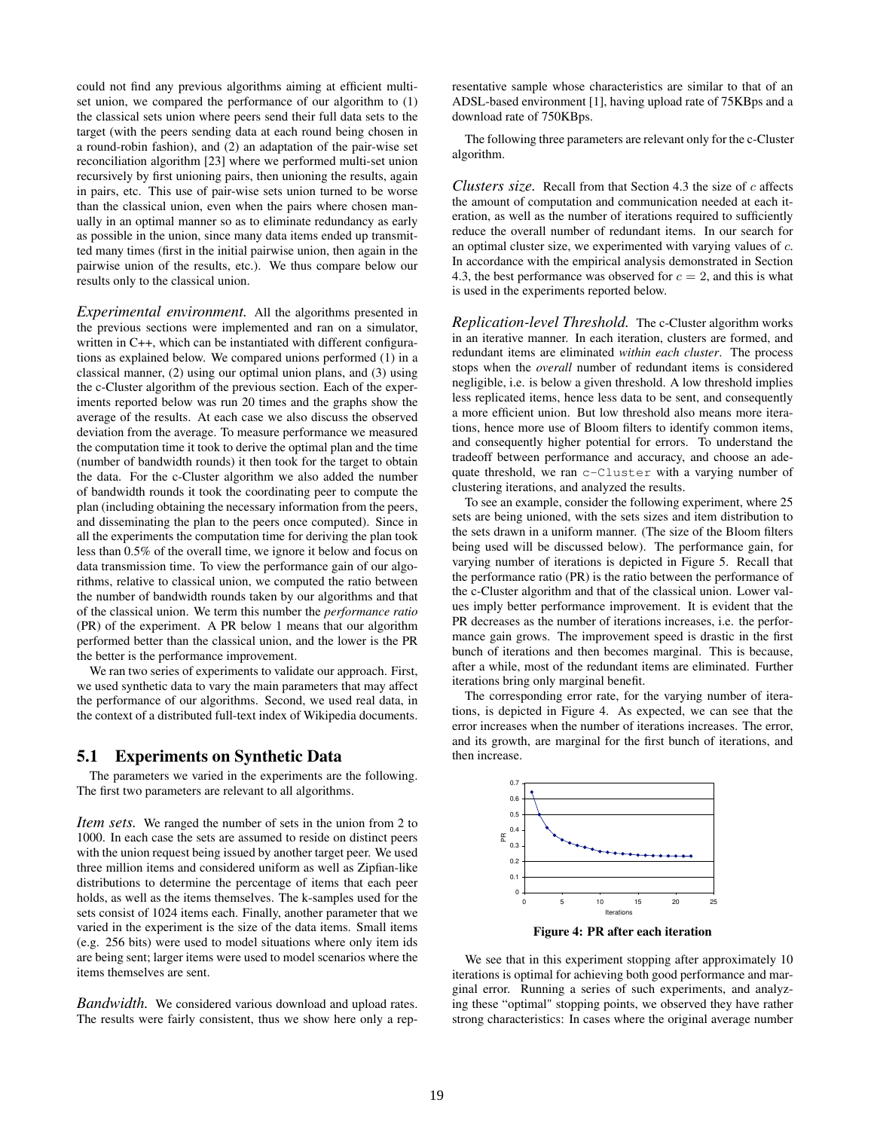could not find any previous algorithms aiming at efficient multiset union, we compared the performance of our algorithm to (1) the classical sets union where peers send their full data sets to the target (with the peers sending data at each round being chosen in a round-robin fashion), and (2) an adaptation of the pair-wise set reconciliation algorithm [23] where we performed multi-set union recursively by first unioning pairs, then unioning the results, again in pairs, etc. This use of pair-wise sets union turned to be worse than the classical union, even when the pairs where chosen manually in an optimal manner so as to eliminate redundancy as early as possible in the union, since many data items ended up transmitted many times (first in the initial pairwise union, then again in the pairwise union of the results, etc.). We thus compare below our results only to the classical union.

*Experimental environment.* All the algorithms presented in the previous sections were implemented and ran on a simulator, written in C++, which can be instantiated with different configurations as explained below. We compared unions performed (1) in a classical manner, (2) using our optimal union plans, and (3) using the c-Cluster algorithm of the previous section. Each of the experiments reported below was run 20 times and the graphs show the average of the results. At each case we also discuss the observed deviation from the average. To measure performance we measured the computation time it took to derive the optimal plan and the time (number of bandwidth rounds) it then took for the target to obtain the data. For the c-Cluster algorithm we also added the number of bandwidth rounds it took the coordinating peer to compute the plan (including obtaining the necessary information from the peers, and disseminating the plan to the peers once computed). Since in all the experiments the computation time for deriving the plan took less than 0.5% of the overall time, we ignore it below and focus on data transmission time. To view the performance gain of our algorithms, relative to classical union, we computed the ratio between the number of bandwidth rounds taken by our algorithms and that of the classical union. We term this number the *performance ratio* (PR) of the experiment. A PR below 1 means that our algorithm performed better than the classical union, and the lower is the PR the better is the performance improvement.

We ran two series of experiments to validate our approach. First, we used synthetic data to vary the main parameters that may affect the performance of our algorithms. Second, we used real data, in the context of a distributed full-text index of Wikipedia documents.

#### 5.1 Experiments on Synthetic Data

The parameters we varied in the experiments are the following. The first two parameters are relevant to all algorithms.

*Item sets.* We ranged the number of sets in the union from 2 to 1000. In each case the sets are assumed to reside on distinct peers with the union request being issued by another target peer. We used three million items and considered uniform as well as Zipfian-like distributions to determine the percentage of items that each peer holds, as well as the items themselves. The k-samples used for the sets consist of 1024 items each. Finally, another parameter that we varied in the experiment is the size of the data items. Small items (e.g. 256 bits) were used to model situations where only item ids are being sent; larger items were used to model scenarios where the items themselves are sent.

*Bandwidth.* We considered various download and upload rates. The results were fairly consistent, thus we show here only a representative sample whose characteristics are similar to that of an ADSL-based environment [1], having upload rate of 75KBps and a download rate of 750KBps.

The following three parameters are relevant only for the c-Cluster algorithm.

*Clusters size.* Recall from that Section 4.3 the size of c affects the amount of computation and communication needed at each iteration, as well as the number of iterations required to sufficiently reduce the overall number of redundant items. In our search for an optimal cluster size, we experimented with varying values of c. In accordance with the empirical analysis demonstrated in Section 4.3, the best performance was observed for  $c = 2$ , and this is what is used in the experiments reported below.

*Replication-level Threshold.* The c-Cluster algorithm works in an iterative manner. In each iteration, clusters are formed, and redundant items are eliminated *within each cluster*. The process stops when the *overall* number of redundant items is considered negligible, i.e. is below a given threshold. A low threshold implies less replicated items, hence less data to be sent, and consequently a more efficient union. But low threshold also means more iterations, hence more use of Bloom filters to identify common items, and consequently higher potential for errors. To understand the tradeoff between performance and accuracy, and choose an adequate threshold, we ran c-Cluster with a varying number of clustering iterations, and analyzed the results.

To see an example, consider the following experiment, where 25 sets are being unioned, with the sets sizes and item distribution to the sets drawn in a uniform manner. (The size of the Bloom filters being used will be discussed below). The performance gain, for varying number of iterations is depicted in Figure 5. Recall that the performance ratio (PR) is the ratio between the performance of the c-Cluster algorithm and that of the classical union. Lower values imply better performance improvement. It is evident that the PR decreases as the number of iterations increases, i.e. the performance gain grows. The improvement speed is drastic in the first bunch of iterations and then becomes marginal. This is because, after a while, most of the redundant items are eliminated. Further iterations bring only marginal benefit.

The corresponding error rate, for the varying number of iterations, is depicted in Figure 4. As expected, we can see that the error increases when the number of iterations increases. The error, and its growth, are marginal for the first bunch of iterations, and then increase.



Figure 4: PR after each iteration

We see that in this experiment stopping after approximately 10 iterations is optimal for achieving both good performance and marginal error. Running a series of such experiments, and analyzing these "optimal" stopping points, we observed they have rather strong characteristics: In cases where the original average number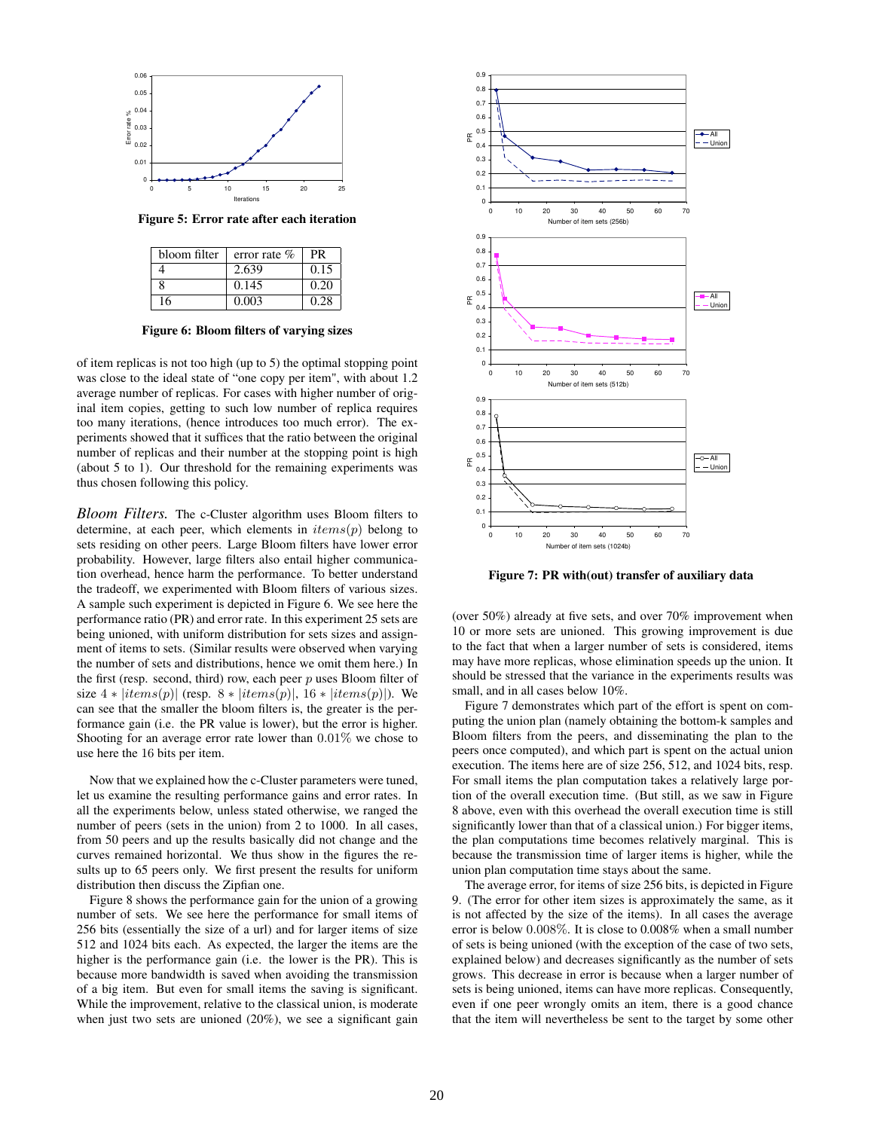

Figure 5: Error rate after each iteration

| bloom filter | error rate $%$ | PR   |
|--------------|----------------|------|
|              | 2.639          | 0.15 |
| 8            | 0.145          | 0.20 |
| 16           | 0.003          | 0.28 |

Figure 6: Bloom filters of varying sizes

of item replicas is not too high (up to 5) the optimal stopping point was close to the ideal state of "one copy per item", with about 1.2 average number of replicas. For cases with higher number of original item copies, getting to such low number of replica requires too many iterations, (hence introduces too much error). The experiments showed that it suffices that the ratio between the original number of replicas and their number at the stopping point is high (about 5 to 1). Our threshold for the remaining experiments was thus chosen following this policy.

*Bloom Filters.* The c-Cluster algorithm uses Bloom filters to determine, at each peer, which elements in  $items(p)$  belong to sets residing on other peers. Large Bloom filters have lower error probability. However, large filters also entail higher communication overhead, hence harm the performance. To better understand the tradeoff, we experimented with Bloom filters of various sizes. A sample such experiment is depicted in Figure 6. We see here the performance ratio (PR) and error rate. In this experiment 25 sets are being unioned, with uniform distribution for sets sizes and assignment of items to sets. (Similar results were observed when varying the number of sets and distributions, hence we omit them here.) In the first (resp. second, third) row, each peer  $p$  uses Bloom filter of size  $4 * |items(p)|$  (resp.  $8 * |items(p)|$ ,  $16 * |items(p)|$ ). We can see that the smaller the bloom filters is, the greater is the performance gain (i.e. the PR value is lower), but the error is higher. Shooting for an average error rate lower than 0.01% we chose to use here the 16 bits per item.

Now that we explained how the c-Cluster parameters were tuned, let us examine the resulting performance gains and error rates. In all the experiments below, unless stated otherwise, we ranged the number of peers (sets in the union) from 2 to 1000. In all cases, from 50 peers and up the results basically did not change and the curves remained horizontal. We thus show in the figures the results up to 65 peers only. We first present the results for uniform distribution then discuss the Zipfian one.

Figure 8 shows the performance gain for the union of a growing number of sets. We see here the performance for small items of 256 bits (essentially the size of a url) and for larger items of size 512 and 1024 bits each. As expected, the larger the items are the higher is the performance gain (i.e. the lower is the PR). This is because more bandwidth is saved when avoiding the transmission of a big item. But even for small items the saving is significant. While the improvement, relative to the classical union, is moderate when just two sets are unioned (20%), we see a significant gain



Figure 7: PR with(out) transfer of auxiliary data

(over 50%) already at five sets, and over 70% improvement when 10 or more sets are unioned. This growing improvement is due to the fact that when a larger number of sets is considered, items may have more replicas, whose elimination speeds up the union. It should be stressed that the variance in the experiments results was small, and in all cases below 10%.

Figure 7 demonstrates which part of the effort is spent on computing the union plan (namely obtaining the bottom-k samples and Bloom filters from the peers, and disseminating the plan to the peers once computed), and which part is spent on the actual union execution. The items here are of size 256, 512, and 1024 bits, resp. For small items the plan computation takes a relatively large portion of the overall execution time. (But still, as we saw in Figure 8 above, even with this overhead the overall execution time is still significantly lower than that of a classical union.) For bigger items, the plan computations time becomes relatively marginal. This is because the transmission time of larger items is higher, while the union plan computation time stays about the same.

The average error, for items of size 256 bits, is depicted in Figure 9. (The error for other item sizes is approximately the same, as it is not affected by the size of the items). In all cases the average error is below 0.008%. It is close to 0.008% when a small number of sets is being unioned (with the exception of the case of two sets, explained below) and decreases significantly as the number of sets grows. This decrease in error is because when a larger number of sets is being unioned, items can have more replicas. Consequently, even if one peer wrongly omits an item, there is a good chance that the item will nevertheless be sent to the target by some other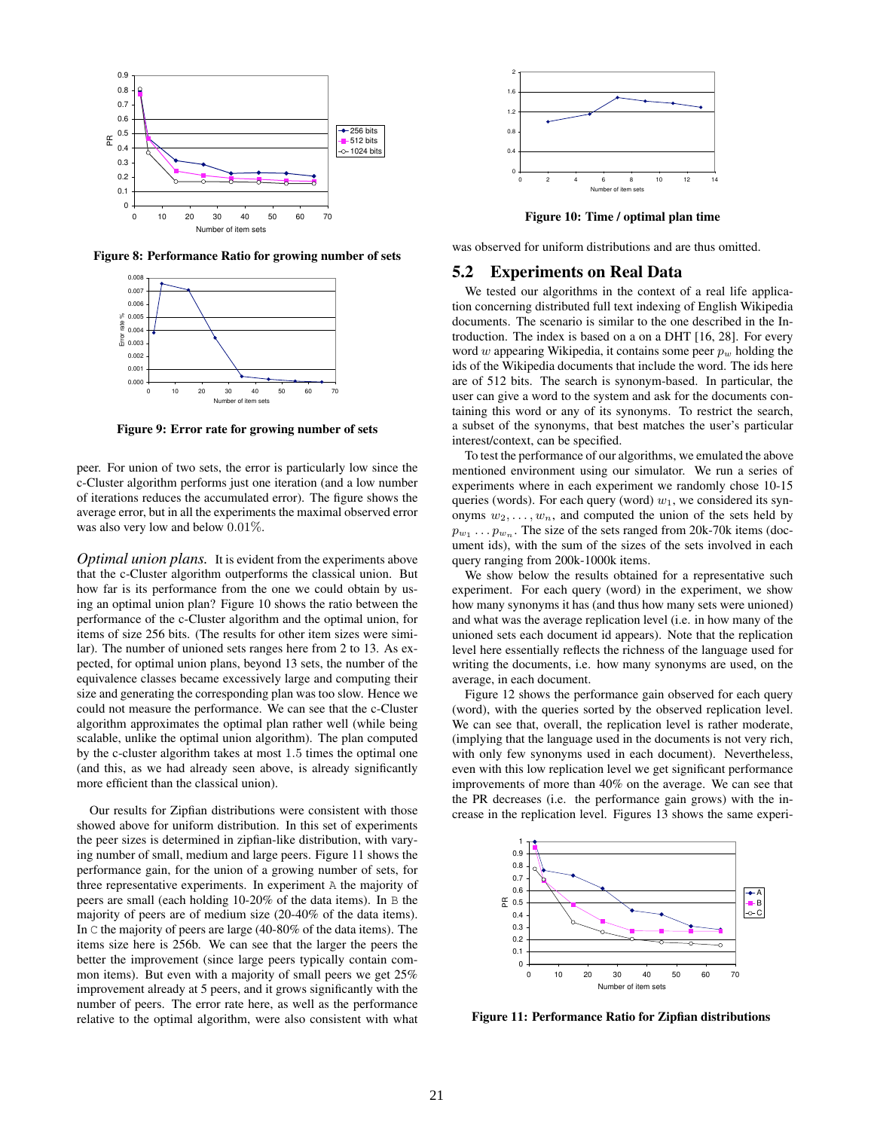

Figure 8: Performance Ratio for growing number of sets



Figure 9: Error rate for growing number of sets

peer. For union of two sets, the error is particularly low since the c-Cluster algorithm performs just one iteration (and a low number of iterations reduces the accumulated error). The figure shows the average error, but in all the experiments the maximal observed error was also very low and below 0.01%.

*Optimal union plans.* It is evident from the experiments above that the c-Cluster algorithm outperforms the classical union. But how far is its performance from the one we could obtain by using an optimal union plan? Figure 10 shows the ratio between the performance of the c-Cluster algorithm and the optimal union, for items of size 256 bits. (The results for other item sizes were similar). The number of unioned sets ranges here from 2 to 13. As expected, for optimal union plans, beyond 13 sets, the number of the equivalence classes became excessively large and computing their size and generating the corresponding plan was too slow. Hence we could not measure the performance. We can see that the c-Cluster algorithm approximates the optimal plan rather well (while being scalable, unlike the optimal union algorithm). The plan computed by the c-cluster algorithm takes at most 1.5 times the optimal one (and this, as we had already seen above, is already significantly more efficient than the classical union).

Our results for Zipfian distributions were consistent with those showed above for uniform distribution. In this set of experiments the peer sizes is determined in zipfian-like distribution, with varying number of small, medium and large peers. Figure 11 shows the performance gain, for the union of a growing number of sets, for three representative experiments. In experiment A the majority of peers are small (each holding 10-20% of the data items). In B the majority of peers are of medium size (20-40% of the data items). In C the majority of peers are large (40-80% of the data items). The items size here is 256b. We can see that the larger the peers the better the improvement (since large peers typically contain common items). But even with a majority of small peers we get 25% improvement already at 5 peers, and it grows significantly with the number of peers. The error rate here, as well as the performance relative to the optimal algorithm, were also consistent with what



Figure 10: Time / optimal plan time

was observed for uniform distributions and are thus omitted.

#### 5.2 Experiments on Real Data

We tested our algorithms in the context of a real life application concerning distributed full text indexing of English Wikipedia documents. The scenario is similar to the one described in the Introduction. The index is based on a on a DHT [16, 28]. For every word  $w$  appearing Wikipedia, it contains some peer  $p_w$  holding the ids of the Wikipedia documents that include the word. The ids here are of 512 bits. The search is synonym-based. In particular, the user can give a word to the system and ask for the documents containing this word or any of its synonyms. To restrict the search, a subset of the synonyms, that best matches the user's particular interest/context, can be specified.

To test the performance of our algorithms, we emulated the above mentioned environment using our simulator. We run a series of experiments where in each experiment we randomly chose 10-15 queries (words). For each query (word)  $w_1$ , we considered its synonyms  $w_2, \ldots, w_n$ , and computed the union of the sets held by  $p_{w_1} \dots p_{w_n}$ . The size of the sets ranged from 20k-70k items (document ids), with the sum of the sizes of the sets involved in each query ranging from 200k-1000k items.

We show below the results obtained for a representative such experiment. For each query (word) in the experiment, we show how many synonyms it has (and thus how many sets were unioned) and what was the average replication level (i.e. in how many of the unioned sets each document id appears). Note that the replication level here essentially reflects the richness of the language used for writing the documents, i.e. how many synonyms are used, on the average, in each document.

Figure 12 shows the performance gain observed for each query (word), with the queries sorted by the observed replication level. We can see that, overall, the replication level is rather moderate, (implying that the language used in the documents is not very rich, with only few synonyms used in each document). Nevertheless, even with this low replication level we get significant performance improvements of more than 40% on the average. We can see that the PR decreases (i.e. the performance gain grows) with the increase in the replication level. Figures 13 shows the same experi-



Figure 11: Performance Ratio for Zipfian distributions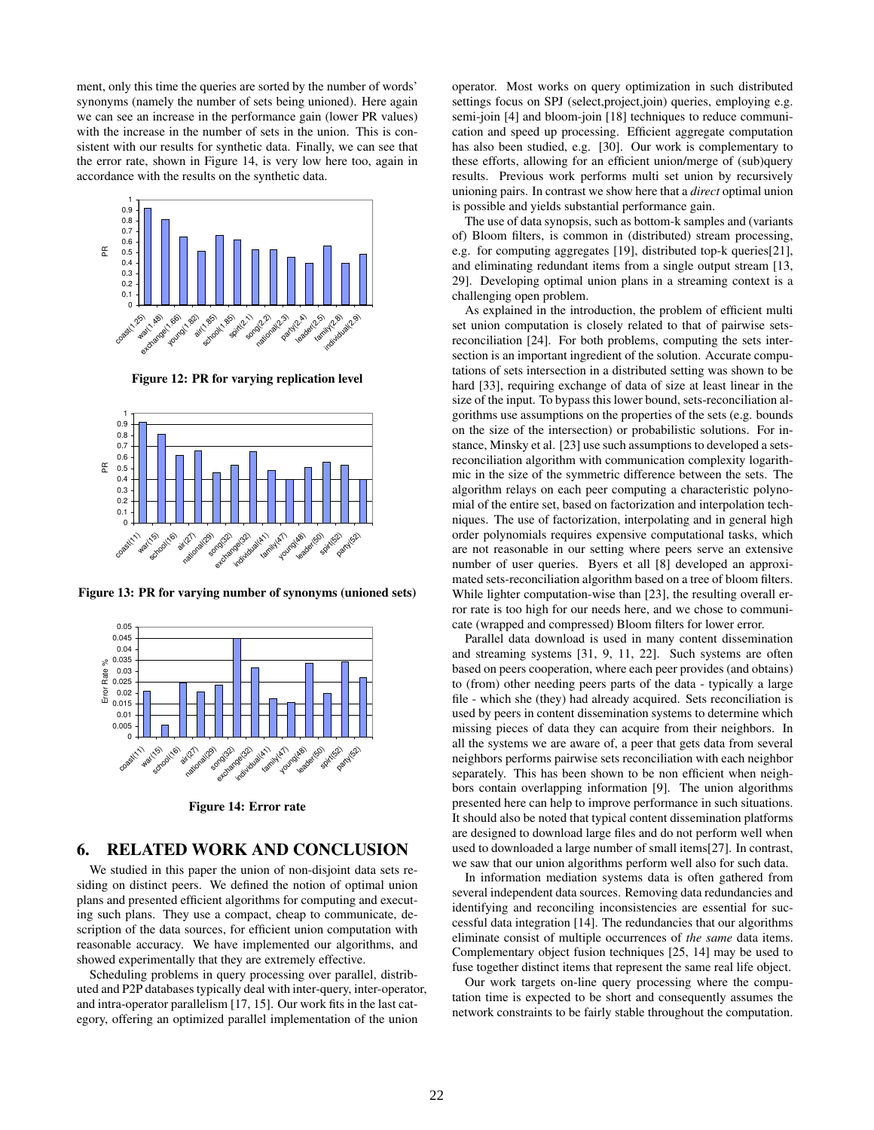ment, only this time the queries are sorted by the number of words' synonyms (namely the number of sets being unioned). Here again we can see an increase in the performance gain (lower PR values) with the increase in the number of sets in the union. This is consistent with our results for synthetic data. Finally, we can see that the error rate, shown in Figure 14, is very low here too, again in accordance with the results on the synthetic data.



Figure 12: PR for varying replication level



Figure 13: PR for varying number of synonyms (unioned sets)



Figure 14: Error rate

# 6. RELATED WORK AND CONCLUSION

We studied in this paper the union of non-disjoint data sets residing on distinct peers. We defined the notion of optimal union plans and presented efficient algorithms for computing and executing such plans. They use a compact, cheap to communicate, description of the data sources, for efficient union computation with reasonable accuracy. We have implemented our algorithms, and showed experimentally that they are extremely effective.

Scheduling problems in query processing over parallel, distributed and P2P databases typically deal with inter-query, inter-operator, and intra-operator parallelism [17, 15]. Our work fits in the last category, offering an optimized parallel implementation of the union

operator. Most works on query optimization in such distributed settings focus on SPJ (select,project,join) queries, employing e.g. semi-join [4] and bloom-join [18] techniques to reduce communication and speed up processing. Efficient aggregate computation has also been studied, e.g. [30]. Our work is complementary to these efforts, allowing for an efficient union/merge of (sub)query results. Previous work performs multi set union by recursively unioning pairs. In contrast we show here that a *direct* optimal union is possible and yields substantial performance gain.

The use of data synopsis, such as bottom-k samples and (variants of) Bloom filters, is common in (distributed) stream processing, e.g. for computing aggregates [19], distributed top-k queries[21], and eliminating redundant items from a single output stream [13, 29]. Developing optimal union plans in a streaming context is a challenging open problem.

As explained in the introduction, the problem of efficient multi set union computation is closely related to that of pairwise setsreconciliation [24]. For both problems, computing the sets intersection is an important ingredient of the solution. Accurate computations of sets intersection in a distributed setting was shown to be hard [33], requiring exchange of data of size at least linear in the size of the input. To bypass this lower bound, sets-reconciliation algorithms use assumptions on the properties of the sets (e.g. bounds on the size of the intersection) or probabilistic solutions. For instance, Minsky et al. [23] use such assumptions to developed a setsreconciliation algorithm with communication complexity logarithmic in the size of the symmetric difference between the sets. The algorithm relays on each peer computing a characteristic polynomial of the entire set, based on factorization and interpolation techniques. The use of factorization, interpolating and in general high order polynomials requires expensive computational tasks, which are not reasonable in our setting where peers serve an extensive number of user queries. Byers et all [8] developed an approximated sets-reconciliation algorithm based on a tree of bloom filters. While lighter computation-wise than [23], the resulting overall error rate is too high for our needs here, and we chose to communicate (wrapped and compressed) Bloom filters for lower error.

Parallel data download is used in many content dissemination and streaming systems [31, 9, 11, 22]. Such systems are often based on peers cooperation, where each peer provides (and obtains) to (from) other needing peers parts of the data - typically a large file - which she (they) had already acquired. Sets reconciliation is used by peers in content dissemination systems to determine which missing pieces of data they can acquire from their neighbors. In all the systems we are aware of, a peer that gets data from several neighbors performs pairwise sets reconciliation with each neighbor separately. This has been shown to be non efficient when neighbors contain overlapping information [9]. The union algorithms presented here can help to improve performance in such situations. It should also be noted that typical content dissemination platforms are designed to download large files and do not perform well when used to downloaded a large number of small items[27]. In contrast, we saw that our union algorithms perform well also for such data.

In information mediation systems data is often gathered from several independent data sources. Removing data redundancies and identifying and reconciling inconsistencies are essential for successful data integration [14]. The redundancies that our algorithms eliminate consist of multiple occurrences of *the same* data items. Complementary object fusion techniques [25, 14] may be used to fuse together distinct items that represent the same real life object.

Our work targets on-line query processing where the computation time is expected to be short and consequently assumes the network constraints to be fairly stable throughout the computation.